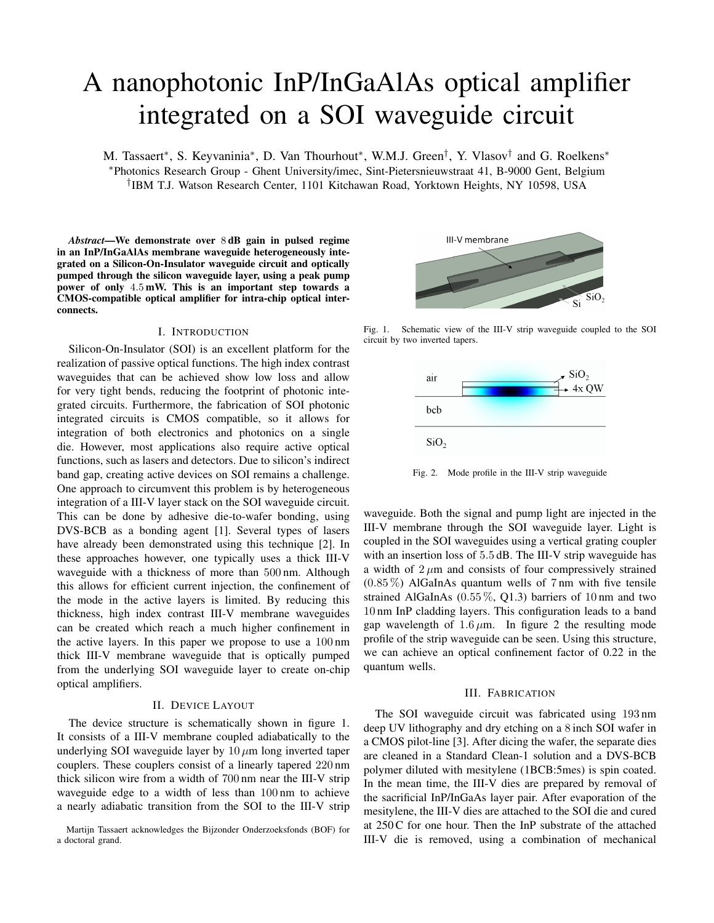# A nanophotonic InP/InGaAlAs optical amplifier integrated on a SOI waveguide circuit

M. Tassaert\*, S. Keyvaninia\*, D. Van Thourhout\*, W.M.J. Green<sup>†</sup>, Y. Vlasov<sup>†</sup> and G. Roelkens\* <sup>∗</sup>Photonics Research Group - Ghent University/imec, Sint-Pietersnieuwstraat 41, B-9000 Gent, Belgium † IBM T.J. Watson Research Center, 1101 Kitchawan Road, Yorktown Heights, NY 10598, USA

*Abstract*—We demonstrate over 8 dB gain in pulsed regime in an InP/InGaAlAs membrane waveguide heterogeneously integrated on a Silicon-On-Insulator waveguide circuit and optically pumped through the silicon waveguide layer, using a peak pump power of only 4.5 mW. This is an important step towards a CMOS-compatible optical amplifier for intra-chip optical interconnects.

## I. INTRODUCTION

Silicon-On-Insulator (SOI) is an excellent platform for the realization of passive optical functions. The high index contrast waveguides that can be achieved show low loss and allow for very tight bends, reducing the footprint of photonic integrated circuits. Furthermore, the fabrication of SOI photonic integrated circuits is CMOS compatible, so it allows for integration of both electronics and photonics on a single die. However, most applications also require active optical functions, such as lasers and detectors. Due to silicon's indirect band gap, creating active devices on SOI remains a challenge. One approach to circumvent this problem is by heterogeneous integration of a III-V layer stack on the SOI waveguide circuit. This can be done by adhesive die-to-wafer bonding, using DVS-BCB as a bonding agent [1]. Several types of lasers have already been demonstrated using this technique [2]. In these approaches however, one typically uses a thick III-V waveguide with a thickness of more than 500 nm. Although this allows for efficient current injection, the confinement of the mode in the active layers is limited. By reducing this thickness, high index contrast III-V membrane waveguides can be created which reach a much higher confinement in the active layers. In this paper we propose to use a 100 nm thick III-V membrane waveguide that is optically pumped from the underlying SOI waveguide layer to create on-chip optical amplifiers.

## II. DEVICE LAYOUT

The device structure is schematically shown in figure 1. It consists of a III-V membrane coupled adiabatically to the underlying SOI waveguide layer by  $10 \mu m$  long inverted taper couplers. These couplers consist of a linearly tapered 220 nm thick silicon wire from a width of 700 nm near the III-V strip waveguide edge to a width of less than 100 nm to achieve a nearly adiabatic transition from the SOI to the III-V strip





Fig. 1. Schematic view of the III-V strip waveguide coupled to the SOI circuit by two inverted tapers.



Fig. 2. Mode profile in the III-V strip waveguide

waveguide. Both the signal and pump light are injected in the III-V membrane through the SOI waveguide layer. Light is coupled in the SOI waveguides using a vertical grating coupler with an insertion loss of 5.5 dB. The III-V strip waveguide has a width of  $2 \mu m$  and consists of four compressively strained  $(0.85\%)$  AlGaInAs quantum wells of 7 nm with five tensile strained AlGaInAs  $(0.55\%, Q1.3)$  barriers of 10 nm and two 10 nm InP cladding layers. This configuration leads to a band gap wavelength of  $1.6 \mu m$ . In figure 2 the resulting mode profile of the strip waveguide can be seen. Using this structure, we can achieve an optical confinement factor of 0.22 in the quantum wells.

#### III. FABRICATION

The SOI waveguide circuit was fabricated using 193 nm deep UV lithography and dry etching on a 8 inch SOI wafer in a CMOS pilot-line [3]. After dicing the wafer, the separate dies are cleaned in a Standard Clean-1 solution and a DVS-BCB polymer diluted with mesitylene (1BCB:5mes) is spin coated. In the mean time, the III-V dies are prepared by removal of the sacrificial InP/InGaAs layer pair. After evaporation of the mesitylene, the III-V dies are attached to the SOI die and cured at 250 C for one hour. Then the InP substrate of the attached III-V die is removed, using a combination of mechanical